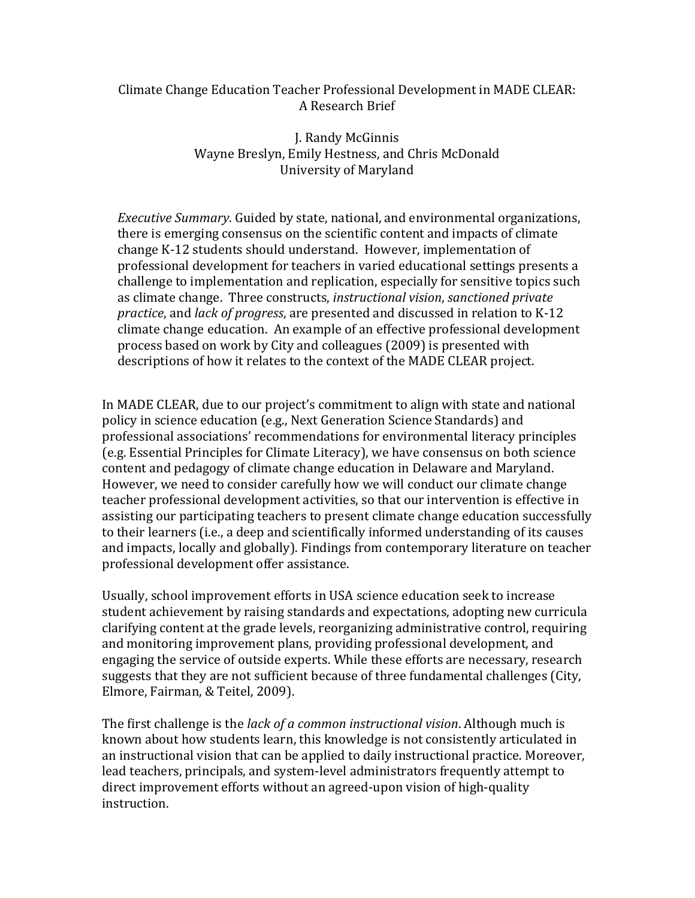## Climate Change Education Teacher Professional Development in MADE CLEAR: A Research Brief

J. Randy McGinnis Wayne Breslyn, Emily Hestness, and Chris McDonald University of Maryland

*Executive Summary*. Guided by state, national, and environmental organizations, there is emerging consensus on the scientific content and impacts of climate change K-12 students should understand. However, implementation of professional development for teachers in varied educational settings presents a challenge to implementation and replication, especially for sensitive topics such as climate change. Three constructs, *instructional vision*, *sanctioned private practice*, and *lack of progress*, are presented and discussed in relation to K-12 climate change education. An example of an effective professional development process based on work by City and colleagues (2009) is presented with descriptions of how it relates to the context of the MADE CLEAR project.

In MADE CLEAR, due to our project's commitment to align with state and national policy in science education (e.g., Next Generation Science Standards) and professional associations' recommendations for environmental literacy principles (e.g. Essential Principles for Climate Literacy), we have consensus on both science content and pedagogy of climate change education in Delaware and Maryland. However, we need to consider carefully how we will conduct our climate change teacher professional development activities, so that our intervention is effective in assisting our participating teachers to present climate change education successfully to their learners (i.e., a deep and scientifically informed understanding of its causes and impacts, locally and globally). Findings from contemporary literature on teacher professional development offer assistance.

Usually, school improvement efforts in USA science education seek to increase student achievement by raising standards and expectations, adopting new curricula clarifying content at the grade levels, reorganizing administrative control, requiring and monitoring improvement plans, providing professional development, and engaging the service of outside experts. While these efforts are necessary, research suggests that they are not sufficient because of three fundamental challenges (City, Elmore, Fairman, & Teitel, 2009).

The first challenge is the *lack of a common instructional vision*. Although much is known about how students learn, this knowledge is not consistently articulated in an instructional vision that can be applied to daily instructional practice. Moreover, lead teachers, principals, and system-level administrators frequently attempt to direct improvement efforts without an agreed-upon vision of high-quality instruction.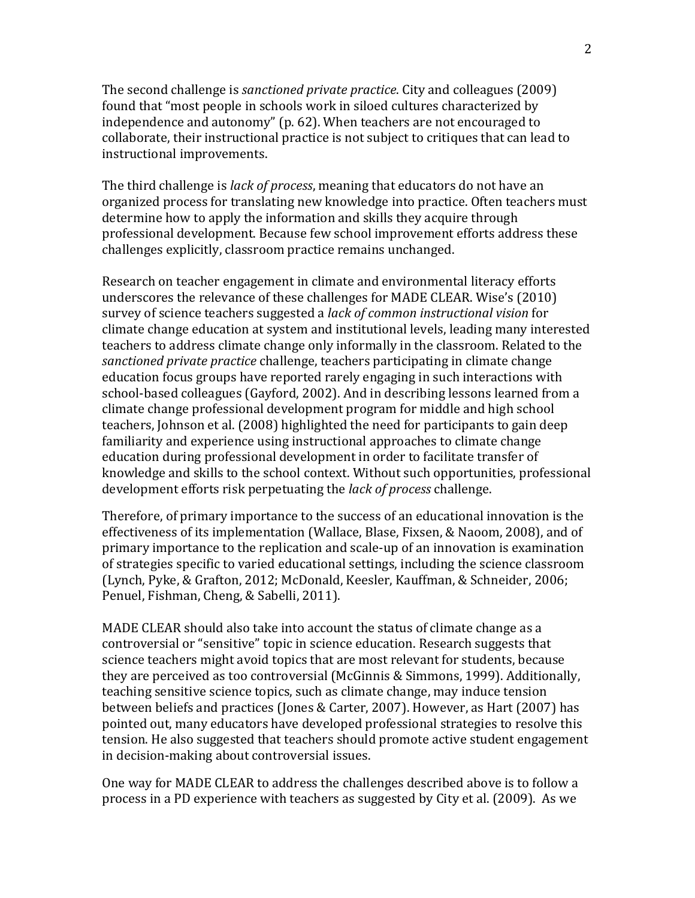The second challenge is *sanctioned private practice*. City and colleagues (2009) found that "most people in schools work in siloed cultures characterized by independence and autonomy" (p. 62). When teachers are not encouraged to collaborate, their instructional practice is not subject to critiques that can lead to instructional improvements.

The third challenge is *lack of process*, meaning that educators do not have an organized process for translating new knowledge into practice. Often teachers must determine how to apply the information and skills they acquire through professional development. Because few school improvement efforts address these challenges explicitly, classroom practice remains unchanged.

Research on teacher engagement in climate and environmental literacy efforts underscores the relevance of these challenges for MADE CLEAR. Wise's (2010) survey of science teachers suggested a *lack of common instructional vision* for climate change education at system and institutional levels, leading many interested teachers to address climate change only informally in the classroom. Related to the *sanctioned private practice* challenge, teachers participating in climate change education focus groups have reported rarely engaging in such interactions with school-based colleagues (Gayford, 2002). And in describing lessons learned from a climate change professional development program for middle and high school teachers, Johnson et al. (2008) highlighted the need for participants to gain deep familiarity and experience using instructional approaches to climate change education during professional development in order to facilitate transfer of knowledge and skills to the school context. Without such opportunities, professional development efforts risk perpetuating the *lack of process* challenge.

Therefore, of primary importance to the success of an educational innovation is the effectiveness of its implementation (Wallace, Blase, Fixsen, & Naoom, 2008), and of primary importance to the replication and scale-up of an innovation is examination of strategies specific to varied educational settings, including the science classroom (Lynch, Pyke, & Grafton, 2012; McDonald, Keesler, Kauffman, & Schneider, 2006; Penuel, Fishman, Cheng, & Sabelli, 2011).

MADE CLEAR should also take into account the status of climate change as a controversial or "sensitive" topic in science education. Research suggests that science teachers might avoid topics that are most relevant for students, because they are perceived as too controversial (McGinnis & Simmons, 1999). Additionally, teaching sensitive science topics, such as climate change, may induce tension between beliefs and practices (Jones & Carter, 2007). However, as Hart (2007) has pointed out, many educators have developed professional strategies to resolve this tension. He also suggested that teachers should promote active student engagement in decision-making about controversial issues.

One way for MADE CLEAR to address the challenges described above is to follow a process in a PD experience with teachers as suggested by City et al. (2009). As we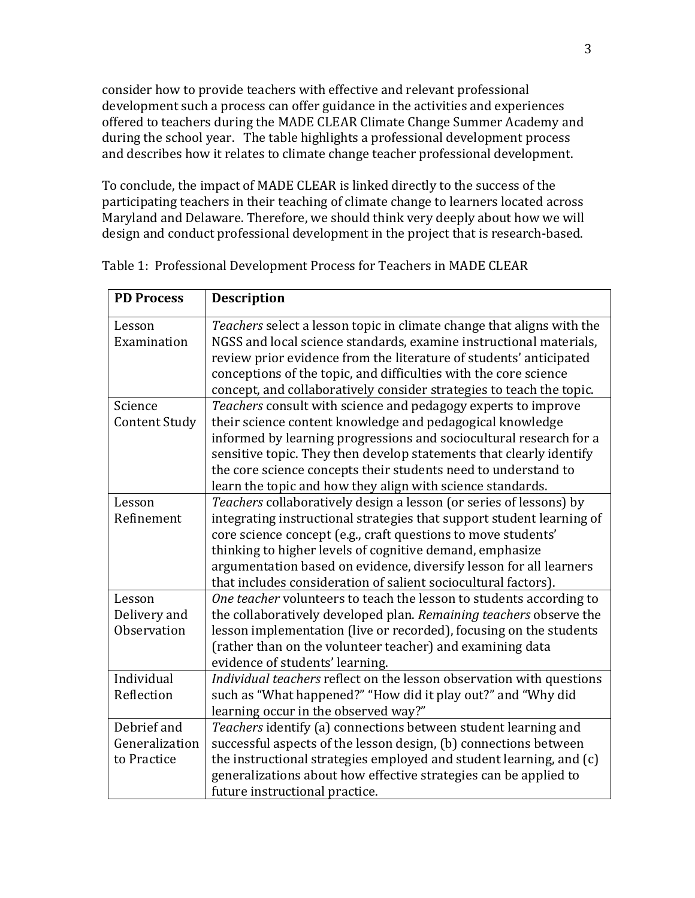consider how to provide teachers with effective and relevant professional development such a process can offer guidance in the activities and experiences offered to teachers during the MADE CLEAR Climate Change Summer Academy and during the school year. The table highlights a professional development process and describes how it relates to climate change teacher professional development.

To conclude, the impact of MADE CLEAR is linked directly to the success of the participating teachers in their teaching of climate change to learners located across Maryland and Delaware. Therefore, we should think very deeply about how we will design and conduct professional development in the project that is research-based.

| <b>PD Process</b>     | <b>Description</b>                                                                                                                          |
|-----------------------|---------------------------------------------------------------------------------------------------------------------------------------------|
| Lesson<br>Examination | Teachers select a lesson topic in climate change that aligns with the<br>NGSS and local science standards, examine instructional materials, |
|                       | review prior evidence from the literature of students' anticipated                                                                          |
|                       | conceptions of the topic, and difficulties with the core science                                                                            |
| Science               | concept, and collaboratively consider strategies to teach the topic.                                                                        |
| <b>Content Study</b>  | Teachers consult with science and pedagogy experts to improve<br>their science content knowledge and pedagogical knowledge                  |
|                       | informed by learning progressions and sociocultural research for a                                                                          |
|                       | sensitive topic. They then develop statements that clearly identify                                                                         |
|                       | the core science concepts their students need to understand to                                                                              |
|                       | learn the topic and how they align with science standards.                                                                                  |
| Lesson                | Teachers collaboratively design a lesson (or series of lessons) by                                                                          |
| Refinement            | integrating instructional strategies that support student learning of                                                                       |
|                       | core science concept (e.g., craft questions to move students'                                                                               |
|                       | thinking to higher levels of cognitive demand, emphasize                                                                                    |
|                       | argumentation based on evidence, diversify lesson for all learners                                                                          |
|                       | that includes consideration of salient sociocultural factors).                                                                              |
| Lesson                | One teacher volunteers to teach the lesson to students according to                                                                         |
| Delivery and          | the collaboratively developed plan. Remaining teachers observe the                                                                          |
| Observation           | lesson implementation (live or recorded), focusing on the students                                                                          |
|                       | (rather than on the volunteer teacher) and examining data                                                                                   |
|                       | evidence of students' learning.                                                                                                             |
| Individual            | Individual teachers reflect on the lesson observation with questions                                                                        |
| Reflection            | such as "What happened?" "How did it play out?" and "Why did                                                                                |
|                       | learning occur in the observed way?"                                                                                                        |
| Debrief and           | Teachers identify (a) connections between student learning and                                                                              |
| Generalization        | successful aspects of the lesson design, (b) connections between                                                                            |
| to Practice           | the instructional strategies employed and student learning, and (c)                                                                         |
|                       | generalizations about how effective strategies can be applied to                                                                            |
|                       | future instructional practice.                                                                                                              |

Table 1: Professional Development Process for Teachers in MADE CLEAR